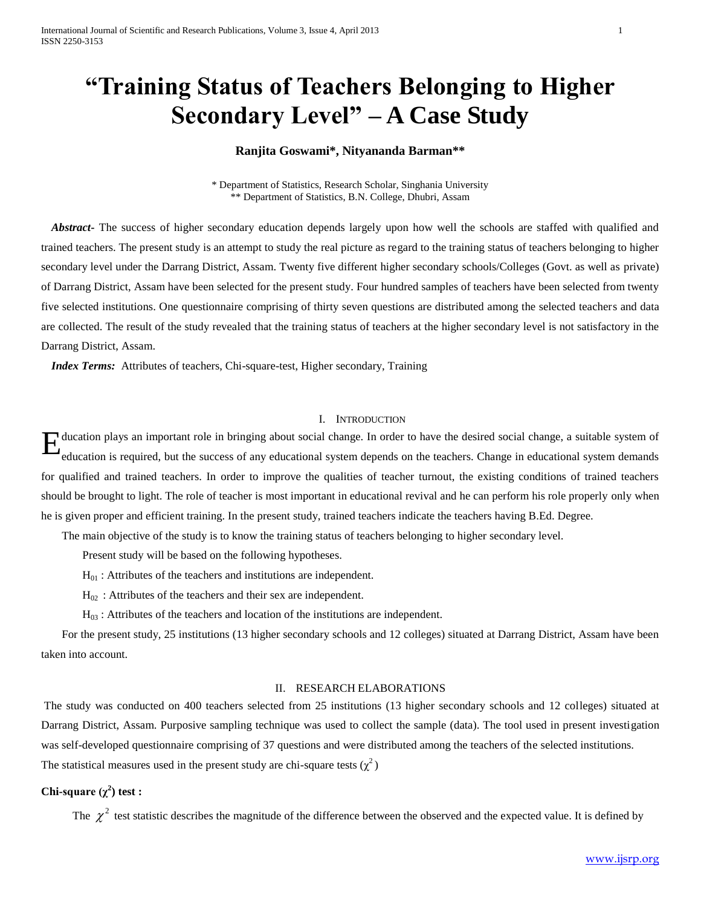# **"Training Status of Teachers Belonging to Higher Secondary Level" – A Case Study**

# **Ranjita Goswami\*, Nityananda Barman\*\***

\* Department of Statistics, Research Scholar, Singhania University \*\* Department of Statistics, B.N. College, Dhubri, Assam

*Abstract***-** The success of higher secondary education depends largely upon how well the schools are staffed with qualified and trained teachers. The present study is an attempt to study the real picture as regard to the training status of teachers belonging to higher secondary level under the Darrang District, Assam. Twenty five different higher secondary schools/Colleges (Govt. as well as private) of Darrang District, Assam have been selected for the present study. Four hundred samples of teachers have been selected from twenty five selected institutions. One questionnaire comprising of thirty seven questions are distributed among the selected teachers and data are collected. The result of the study revealed that the training status of teachers at the higher secondary level is not satisfactory in the Darrang District, Assam.

*Index Terms:* Attributes of teachers, Chi-square-test, Higher secondary, Training

#### I. INTRODUCTION

E ducation plays an important role in bringing about social change. In order to have the desired social change, a suitable system of education is required, but the success of any educational system depends on the teachers. education is required, but the success of any educational system depends on the teachers. Change in educational system demands for qualified and trained teachers. In order to improve the qualities of teacher turnout, the existing conditions of trained teachers should be brought to light. The role of teacher is most important in educational revival and he can perform his role properly only when he is given proper and efficient training. In the present study, trained teachers indicate the teachers having B.Ed. Degree.

The main objective of the study is to know the training status of teachers belonging to higher secondary level.

Present study will be based on the following hypotheses.

 $H_{01}$ : Attributes of the teachers and institutions are independent.

 $H_{02}$ : Attributes of the teachers and their sex are independent.

 $H_{03}$ : Attributes of the teachers and location of the institutions are independent.

For the present study, 25 institutions (13 higher secondary schools and 12 colleges) situated at Darrang District, Assam have been taken into account.

### II. RESEARCH ELABORATIONS

The study was conducted on 400 teachers selected from 25 institutions (13 higher secondary schools and 12 colleges) situated at Darrang District, Assam. Purposive sampling technique was used to collect the sample (data). The tool used in present investigation was self-developed questionnaire comprising of 37 questions and were distributed among the teachers of the selected institutions. The statistical measures used in the present study are chi-square tests  $(\chi^2)$ 

# **Chi-square**  $(χ<sup>2</sup>)$  test :

The  $\chi^2$  test statistic describes the magnitude of the difference between the observed and the expected value. It is defined by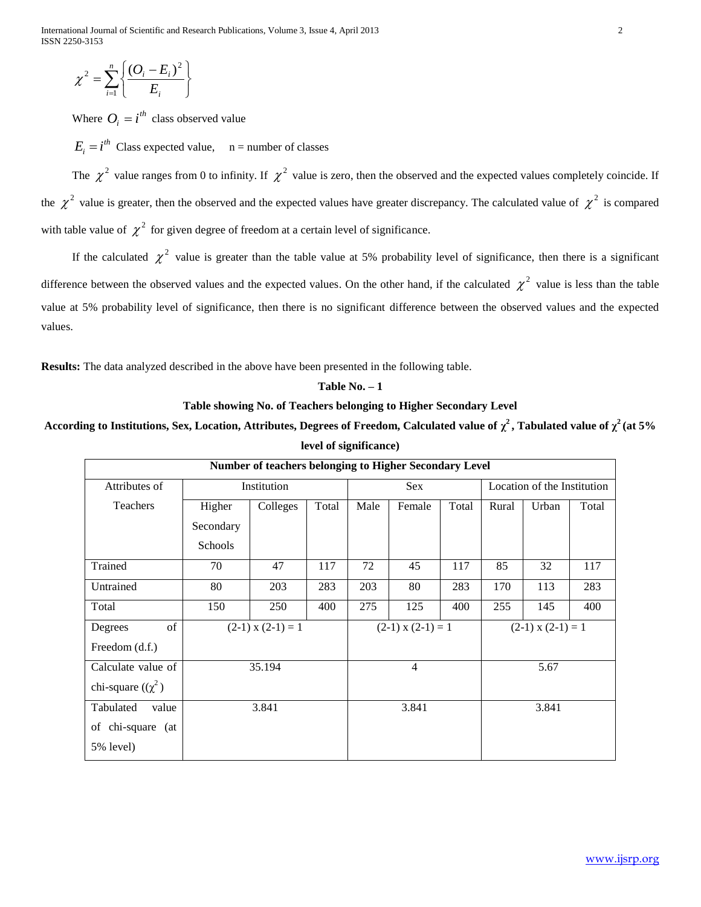International Journal of Scientific and Research Publications, Volume 3, Issue 4, April 2013 2 ISSN 2250-3153

$$
\chi^2 = \sum_{i=1}^n \left\{ \frac{(O_i - E_i)^2}{E_i} \right\}
$$

Where  $O_i = i^{th}$  class observed value

The  $\chi^2$  value ranges from 0 to infinity. If  $\chi^2$  value is zero, then the observed and the expected values completely coincide. If the  $\chi^2$  value is greater, then the observed and the expected values have greater discrepancy. The calculated value of  $\chi^2$  is compared with table value of  $\chi^2$  for given degree of freedom at a certain level of significance.

If the calculated  $\chi^2$  value is greater than the table value at 5% probability level of significance, then there is a significant difference between the observed values and the expected values. On the other hand, if the calculated  $\chi^2$  value is less than the table value at 5% probability level of significance, then there is no significant difference between the observed values and the expected values.

**Results:** The data analyzed described in the above have been presented in the following table.

$$
Table\ No.-1
$$

# **Table showing No. of Teachers belonging to Higher Secondary Level**

According to Institutions, Sex, Location, Attributes, Degrees of Freedom, Calculated value of  $\chi^2$ , Tabulated value of  $\chi^2$  (at 5% **level of significance)**

| $E = \sum_{i=1}^{n} \left\{ \frac{(O_i - E_i)}{E_i} \right\}.$                                                                                 |             |                                                        |            |                |                       |            |                             |                       |            |               |
|------------------------------------------------------------------------------------------------------------------------------------------------|-------------|--------------------------------------------------------|------------|----------------|-----------------------|------------|-----------------------------|-----------------------|------------|---------------|
| ere $O_i = i^{th}$ class observed value                                                                                                        |             |                                                        |            |                |                       |            |                             |                       |            |               |
| $= ith$ Class expected value, n = number of classes                                                                                            |             |                                                        |            |                |                       |            |                             |                       |            |               |
| $\approx \chi^2$ value ranges from 0 to infinity. If $\chi^2$ value is zero, then the observed and the expected values completely coincide. If |             |                                                        |            |                |                       |            |                             |                       |            |               |
| alue is greater, then the observed and the expected values have greater discrepancy. The calculated value of $\chi^2$ is compared              |             |                                                        |            |                |                       |            |                             |                       |            |               |
|                                                                                                                                                |             |                                                        |            |                |                       |            |                             |                       |            |               |
| value of $\chi^2$ for given degree of freedom at a certain level of significance.                                                              |             |                                                        |            |                |                       |            |                             |                       |            |               |
| he calculated $\chi^2$ value is greater than the table value at 5% probability level of significance, then there is a significant              |             |                                                        |            |                |                       |            |                             |                       |            |               |
| between the observed values and the expected values. On the other hand, if the calculated $\chi^2$ value is less than the table                |             |                                                        |            |                |                       |            |                             |                       |            |               |
| % probability level of significance, then there is no significant difference between the observed values and the expected                      |             |                                                        |            |                |                       |            |                             |                       |            |               |
|                                                                                                                                                |             |                                                        |            |                |                       |            |                             |                       |            |               |
|                                                                                                                                                |             |                                                        |            |                |                       |            |                             |                       |            |               |
| The data analyzed described in the above have been presented in the following table.                                                           |             |                                                        |            |                |                       |            |                             |                       |            |               |
| Table No. $-1$<br>Table showing No. of Teachers belonging to Higher Secondary Level                                                            |             |                                                        |            |                |                       |            |                             |                       |            |               |
| ag to Institutions, Sex, Location, Attributes, Degrees of Freedom, Calculated value of $\chi^2$ , Tabulated value of $\chi^2$ (at 5%           |             |                                                        |            |                |                       |            |                             |                       |            |               |
| level of significance)                                                                                                                         |             |                                                        |            |                |                       |            |                             |                       |            |               |
|                                                                                                                                                |             | Number of teachers belonging to Higher Secondary Level |            |                |                       |            |                             |                       |            |               |
| Attributes of                                                                                                                                  | Institution |                                                        |            | Sex            |                       |            | Location of the Institution |                       |            |               |
| Teachers                                                                                                                                       | Higher      | Colleges                                               | Total      | Male           | Female                | Total      | Rural                       | Urban                 | Total      |               |
|                                                                                                                                                | Secondary   |                                                        |            |                |                       |            |                             |                       |            |               |
|                                                                                                                                                | Schools     |                                                        |            |                |                       |            |                             |                       |            |               |
| Trained<br>Untrained                                                                                                                           | 70<br>80    | 47                                                     | 117        | $72\,$         | 45<br>80              | 117        | 85<br>170                   | 32                    | 117        |               |
| Total                                                                                                                                          | 150         | 203<br>250                                             | 283<br>400 | 203<br>275     | 125                   | 283<br>400 | 255                         | 113<br>145            | 283<br>400 |               |
| Degrees<br>of                                                                                                                                  |             | $(2-1)$ x $(2-1) = 1$                                  |            |                | $(2-1)$ x $(2-1) = 1$ |            |                             | $(2-1)$ x $(2-1) = 1$ |            |               |
| Freedom (d.f.)                                                                                                                                 |             |                                                        |            |                |                       |            |                             |                       |            |               |
| Calculate value of                                                                                                                             | 35.194      |                                                        |            | $\overline{4}$ |                       |            | 5.67                        |                       |            |               |
| chi-square $((\chi^2)$                                                                                                                         |             |                                                        |            |                |                       |            |                             |                       |            |               |
| Tabulated<br>value                                                                                                                             | 3.841       |                                                        |            | 3.841          |                       |            | 3.841                       |                       |            |               |
| of chi-square (at                                                                                                                              |             |                                                        |            |                |                       |            |                             |                       |            |               |
| 5% level)                                                                                                                                      |             |                                                        |            |                |                       |            |                             |                       |            |               |
|                                                                                                                                                |             |                                                        |            |                |                       |            |                             |                       |            |               |
|                                                                                                                                                |             |                                                        |            |                |                       |            |                             |                       |            |               |
|                                                                                                                                                |             |                                                        |            |                |                       |            |                             |                       |            |               |
|                                                                                                                                                |             |                                                        |            |                |                       |            |                             |                       |            |               |
|                                                                                                                                                |             |                                                        |            |                |                       |            |                             |                       |            | www.ijsrp.org |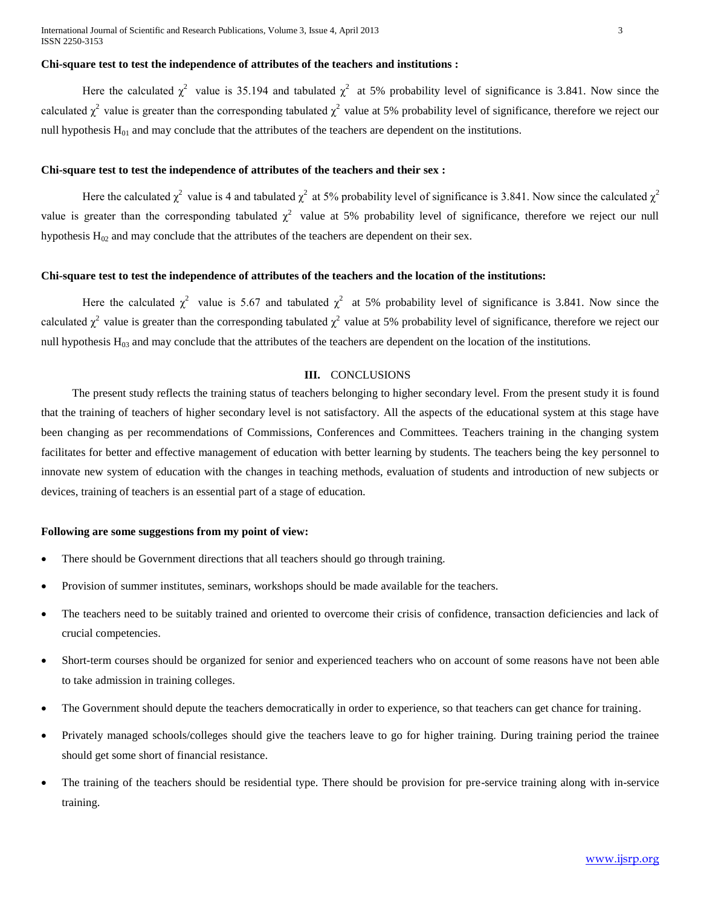#### **Chi-square test to test the independence of attributes of the teachers and institutions :**

Here the calculated  $\chi^2$  value is 35.194 and tabulated  $\chi^2$  at 5% probability level of significance is 3.841. Now since the calculated  $\chi^2$  value is greater than the corresponding tabulated  $\chi^2$  value at 5% probability level of significance, therefore we reject our null hypothesis  $H_{01}$  and may conclude that the attributes of the teachers are dependent on the institutions.

#### **Chi-square test to test the independence of attributes of the teachers and their sex :**

Here the calculated  $\chi^2$  value is 4 and tabulated  $\chi^2$  at 5% probability level of significance is 3.841. Now since the calculated  $\chi^2$ value is greater than the corresponding tabulated  $\chi^2$  value at 5% probability level of significance, therefore we reject our null hypothesis  $H_{02}$  and may conclude that the attributes of the teachers are dependent on their sex.

#### **Chi-square test to test the independence of attributes of the teachers and the location of the institutions:**

Here the calculated  $\chi^2$  value is 5.67 and tabulated  $\chi^2$  at 5% probability level of significance is 3.841. Now since the calculated  $\chi^2$  value is greater than the corresponding tabulated  $\chi^2$  value at 5% probability level of significance, therefore we reject our null hypothesis  $H_{03}$  and may conclude that the attributes of the teachers are dependent on the location of the institutions.

#### **III.** CONCLUSIONS

The present study reflects the training status of teachers belonging to higher secondary level. From the present study it is found that the training of teachers of higher secondary level is not satisfactory. All the aspects of the educational system at this stage have been changing as per recommendations of Commissions, Conferences and Committees. Teachers training in the changing system facilitates for better and effective management of education with better learning by students. The teachers being the key personnel to innovate new system of education with the changes in teaching methods, evaluation of students and introduction of new subjects or devices, training of teachers is an essential part of a stage of education.

#### **Following are some suggestions from my point of view:**

- There should be Government directions that all teachers should go through training.
- Provision of summer institutes, seminars, workshops should be made available for the teachers.
- The teachers need to be suitably trained and oriented to overcome their crisis of confidence, transaction deficiencies and lack of crucial competencies.
- Short-term courses should be organized for senior and experienced teachers who on account of some reasons have not been able to take admission in training colleges.
- The Government should depute the teachers democratically in order to experience, so that teachers can get chance for training.
- Privately managed schools/colleges should give the teachers leave to go for higher training. During training period the trainee should get some short of financial resistance.
- The training of the teachers should be residential type. There should be provision for pre-service training along with in-service training.